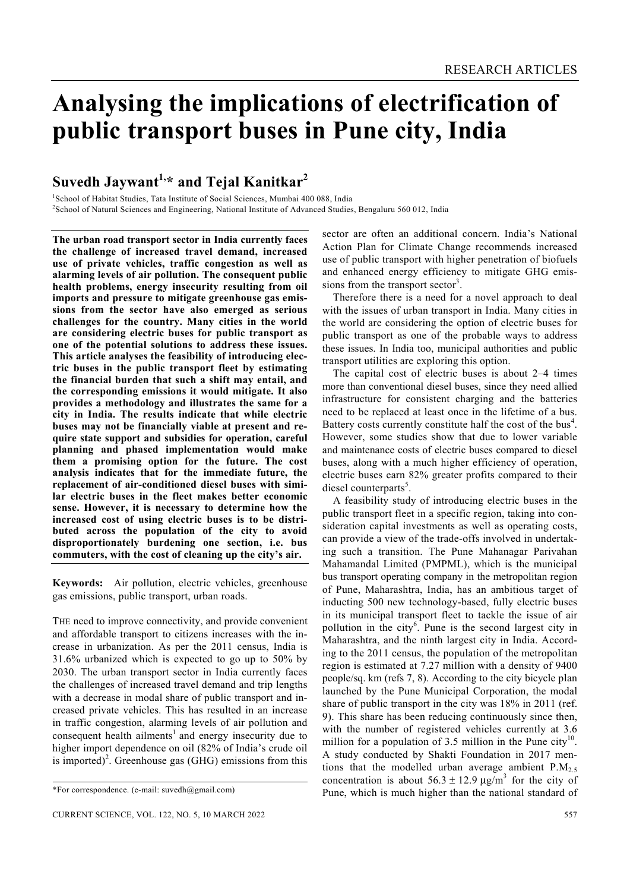# **Analysing the implications of electrification of public transport buses in Pune city, India**

## **Suvedh Jaywant1,\* and Tejal Kanitkar2**

<sup>1</sup>School of Habitat Studies, Tata Institute of Social Sciences, Mumbai 400 088, India<br><sup>2</sup>School of Natural Sciences and Engineering, National Institute of Advanced Studies <sup>2</sup>School of Natural Sciences and Engineering, National Institute of Advanced Studies, Bengaluru 560 012, India

**The urban road transport sector in India currently faces the challenge of increased travel demand, increased use of private vehicles, traffic congestion as well as alarming levels of air pollution. The consequent public health problems, energy insecurity resulting from oil imports and pressure to mitigate greenhouse gas emissions from the sector have also emerged as serious challenges for the country. Many cities in the world are considering electric buses for public transport as one of the potential solutions to address these issues. This article analyses the feasibility of introducing electric buses in the public transport fleet by estimating the financial burden that such a shift may entail, and the corresponding emissions it would mitigate. It also provides a methodology and illustrates the same for a city in India. The results indicate that while electric buses may not be financially viable at present and require state support and subsidies for operation, careful planning and phased implementation would make them a promising option for the future. The cost analysis indicates that for the immediate future, the replacement of air-conditioned diesel buses with similar electric buses in the fleet makes better economic sense. However, it is necessary to determine how the increased cost of using electric buses is to be distributed across the population of the city to avoid disproportionately burdening one section, i.e. bus commuters, with the cost of cleaning up the city's air.** 

**Keywords:** Air pollution, electric vehicles, greenhouse gas emissions, public transport, urban roads.

THE need to improve connectivity, and provide convenient and affordable transport to citizens increases with the increase in urbanization. As per the 2011 census, India is 31.6% urbanized which is expected to go up to 50% by 2030. The urban transport sector in India currently faces the challenges of increased travel demand and trip lengths with a decrease in modal share of public transport and increased private vehicles. This has resulted in an increase in traffic congestion, alarming levels of air pollution and consequent health ailments<sup>1</sup> and energy insecurity due to higher import dependence on oil (82% of India's crude oil is imported)<sup>2</sup>. Greenhouse gas (GHG) emissions from this sector are often an additional concern. India's National Action Plan for Climate Change recommends increased use of public transport with higher penetration of biofuels and enhanced energy efficiency to mitigate GHG emissions from the transport sector<sup>3</sup>.

 Therefore there is a need for a novel approach to deal with the issues of urban transport in India. Many cities in the world are considering the option of electric buses for public transport as one of the probable ways to address these issues. In India too, municipal authorities and public transport utilities are exploring this option.

 The capital cost of electric buses is about 2–4 times more than conventional diesel buses, since they need allied infrastructure for consistent charging and the batteries need to be replaced at least once in the lifetime of a bus. Battery costs currently constitute half the cost of the bus<sup>4</sup>. However, some studies show that due to lower variable and maintenance costs of electric buses compared to diesel buses, along with a much higher efficiency of operation, electric buses earn 82% greater profits compared to their diesel counterparts<sup>5</sup>.

 A feasibility study of introducing electric buses in the public transport fleet in a specific region, taking into consideration capital investments as well as operating costs, can provide a view of the trade-offs involved in undertaking such a transition. The Pune Mahanagar Parivahan Mahamandal Limited (PMPML), which is the municipal bus transport operating company in the metropolitan region of Pune, Maharashtra, India, has an ambitious target of inducting 500 new technology-based, fully electric buses in its municipal transport fleet to tackle the issue of air pollution in the city<sup>6</sup>. Pune is the second largest city in Maharashtra, and the ninth largest city in India. According to the 2011 census, the population of the metropolitan region is estimated at 7.27 million with a density of 9400 people/sq. km (refs 7, 8). According to the city bicycle plan launched by the Pune Municipal Corporation, the modal share of public transport in the city was 18% in 2011 (ref. 9). This share has been reducing continuously since then, with the number of registered vehicles currently at 3.6 million for a population of 3.5 million in the Pune city<sup>10</sup>. A study conducted by Shakti Foundation in 2017 mentions that the modelled urban average ambient  $P.M<sub>2.5</sub>$ concentration is about  $56.3 \pm 12.9 \,\mu g/m^3$  for the city of Pune, which is much higher than the national standard of

<sup>\*</sup>For correspondence. (e-mail: suvedh@gmail.com)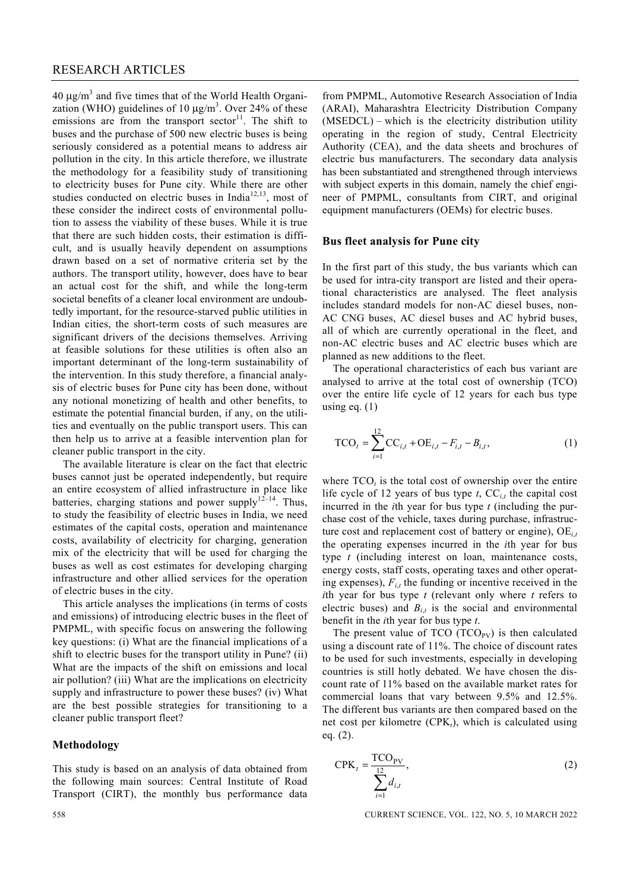$40 \mu g/m^3$  and five times that of the World Health Organization (WHO) guidelines of 10  $\mu$ g/m<sup>3</sup>. Over 24% of these emissions are from the transport sector<sup>11</sup>. The shift to buses and the purchase of 500 new electric buses is being seriously considered as a potential means to address air pollution in the city. In this article therefore, we illustrate the methodology for a feasibility study of transitioning to electricity buses for Pune city. While there are other studies conducted on electric buses in India<sup>12,13</sup>, most of these consider the indirect costs of environmental pollution to assess the viability of these buses. While it is true that there are such hidden costs, their estimation is difficult, and is usually heavily dependent on assumptions drawn based on a set of normative criteria set by the authors. The transport utility, however, does have to bear an actual cost for the shift, and while the long-term societal benefits of a cleaner local environment are undoubtedly important, for the resource-starved public utilities in Indian cities, the short-term costs of such measures are significant drivers of the decisions themselves. Arriving at feasible solutions for these utilities is often also an important determinant of the long-term sustainability of the intervention. In this study therefore, a financial analysis of electric buses for Pune city has been done, without any notional monetizing of health and other benefits, to estimate the potential financial burden, if any, on the utilities and eventually on the public transport users. This can then help us to arrive at a feasible intervention plan for cleaner public transport in the city.

 The available literature is clear on the fact that electric buses cannot just be operated independently, but require an entire ecosystem of allied infrastructure in place like batteries, charging stations and power supply $12-14$ . Thus, to study the feasibility of electric buses in India, we need estimates of the capital costs, operation and maintenance costs, availability of electricity for charging, generation mix of the electricity that will be used for charging the buses as well as cost estimates for developing charging infrastructure and other allied services for the operation of electric buses in the city.

 This article analyses the implications (in terms of costs and emissions) of introducing electric buses in the fleet of PMPML, with specific focus on answering the following key questions: (i) What are the financial implications of a shift to electric buses for the transport utility in Pune? (ii) What are the impacts of the shift on emissions and local air pollution? (iii) What are the implications on electricity supply and infrastructure to power these buses? (iv) What are the best possible strategies for transitioning to a cleaner public transport fleet?

#### **Methodology**

This study is based on an analysis of data obtained from the following main sources: Central Institute of Road Transport (CIRT), the monthly bus performance data

from PMPML, Automotive Research Association of India (ARAI), Maharashtra Electricity Distribution Company (MSEDCL) – which is the electricity distribution utility operating in the region of study, Central Electricity Authority (CEA), and the data sheets and brochures of electric bus manufacturers. The secondary data analysis has been substantiated and strengthened through interviews with subject experts in this domain, namely the chief engineer of PMPML, consultants from CIRT, and original equipment manufacturers (OEMs) for electric buses.

#### **Bus fleet analysis for Pune city**

In the first part of this study, the bus variants which can be used for intra-city transport are listed and their operational characteristics are analysed. The fleet analysis includes standard models for non-AC diesel buses, non-AC CNG buses, AC diesel buses and AC hybrid buses, all of which are currently operational in the fleet, and non-AC electric buses and AC electric buses which are planned as new additions to the fleet.

 The operational characteristics of each bus variant are analysed to arrive at the total cost of ownership (TCO) over the entire life cycle of 12 years for each bus type using eq.  $(1)$ 

$$
TCO_t = \sum_{i=1}^{12} CC_{i,t} + OE_{i,t} - F_{i,t} - B_{i,t},
$$
 (1)

where  $TCO<sub>t</sub>$  is the total cost of ownership over the entire life cycle of 12 years of bus type  $t$ ,  $\mathbf{CC}_{i,t}$  the capital cost incurred in the *i*th year for bus type *t* (including the purchase cost of the vehicle, taxes during purchase, infrastructure cost and replacement cost of battery or engine), OE*i*,*<sup>t</sup>* the operating expenses incurred in the *i*th year for bus type *t* (including interest on loan, maintenance costs, energy costs, staff costs, operating taxes and other operating expenses),  $F_{i,t}$  the funding or incentive received in the *i*th year for bus type *t* (relevant only where *t* refers to electric buses) and  $B_{i,t}$  is the social and environmental benefit in the *i*th year for bus type *t*.

The present value of TCO  $(TCO<sub>PV</sub>)$  is then calculated using a discount rate of 11%. The choice of discount rates to be used for such investments, especially in developing countries is still hotly debated. We have chosen the discount rate of 11% based on the available market rates for commercial loans that vary between 9.5% and 12.5%. The different bus variants are then compared based on the net cost per kilometre (CPK*t*), which is calculated using eq. (2).

$$
CPK_t = \frac{TCO_{PV}}{\sum_{i=1}^{12} d_{i,t}},
$$
\n(2)

558 CURRENT SCIENCE, VOL. 122, NO. 5, 10 MARCH 2022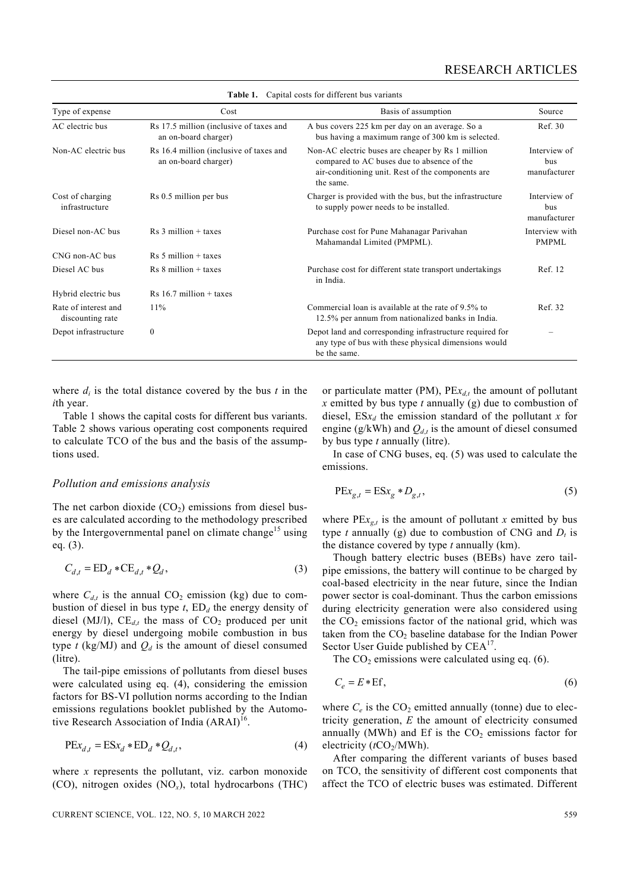| Type of expense                          | Cost                                                            | Basis of assumption                                                                                                                                               | Source                              |
|------------------------------------------|-----------------------------------------------------------------|-------------------------------------------------------------------------------------------------------------------------------------------------------------------|-------------------------------------|
| AC electric bus                          | Rs 17.5 million (inclusive of taxes and<br>an on-board charger) | A bus covers 225 km per day on an average. So a<br>bus having a maximum range of 300 km is selected.                                                              | Ref. 30                             |
| Non-AC electric bus                      | Rs 16.4 million (inclusive of taxes and<br>an on-board charger) | Non-AC electric buses are cheaper by Rs 1 million<br>compared to AC buses due to absence of the<br>air-conditioning unit. Rest of the components are<br>the same. | Interview of<br>bus<br>manufacturer |
| Cost of charging<br>infrastructure       | Rs 0.5 million per bus                                          | Charger is provided with the bus, but the infrastructure<br>to supply power needs to be installed.                                                                | Interview of<br>bus<br>manufacturer |
| Diesel non-AC bus                        | $Rs 3$ million $+$ taxes                                        | Purchase cost for Pune Mahanagar Parivahan<br>Mahamandal Limited (PMPML).                                                                                         | Interview with<br><b>PMPML</b>      |
| CNG non-AC bus                           | $Rs 5$ million + taxes                                          |                                                                                                                                                                   |                                     |
| Diesel AC bus                            | $Rs 8$ million + taxes                                          | Purchase cost for different state transport undertakings<br>in India.                                                                                             | Ref. 12                             |
| Hybrid electric bus                      | $Rs 16.7$ million + taxes                                       |                                                                                                                                                                   |                                     |
| Rate of interest and<br>discounting rate | 11%                                                             | Commercial loan is available at the rate of 9.5% to<br>12.5% per annum from nationalized banks in India.                                                          | Ref. 32                             |
| Depot infrastructure                     | $\theta$                                                        | Depot land and corresponding infrastructure required for<br>any type of bus with these physical dimensions would<br>be the same.                                  |                                     |

**Table 1.** Capital costs for different bus variants

where  $d_i$  is the total distance covered by the bus  $t$  in the *i*th year.

 Table 1 shows the capital costs for different bus variants. Table 2 shows various operating cost components required to calculate TCO of the bus and the basis of the assumptions used.

#### *Pollution and emissions analysis*

The net carbon dioxide  $(CO_2)$  emissions from diesel buses are calculated according to the methodology prescribed by the Intergovernmental panel on climate change<sup>15</sup> using eq. (3).

$$
C_{d,t} = \mathrm{ED}_d * \mathrm{CE}_{d,t} * Q_d,\tag{3}
$$

where  $C_{d,t}$  is the annual  $CO_2$  emission (kg) due to combustion of diesel in bus type  $t$ ,  $ED_d$  the energy density of diesel (MJ/l),  $CE_{d,t}$  the mass of  $CO_2$  produced per unit energy by diesel undergoing mobile combustion in bus type  $t$  (kg/MJ) and  $Q_d$  is the amount of diesel consumed (litre).

 The tail-pipe emissions of pollutants from diesel buses were calculated using eq. (4), considering the emission factors for BS-VI pollution norms according to the Indian emissions regulations booklet published by the Automotive Research Association of India  $(ARAI)^{16}$ .

$$
PEx_{d,t} = ESx_d * ED_d * Q_{d,t},\tag{4}
$$

where *x* represents the pollutant, viz. carbon monoxide (CO), nitrogen oxides (NO*x*), total hydrocarbons (THC) or particulate matter (PM),  $PEx_{d,t}$  the amount of pollutant *x* emitted by bus type *t* annually (g) due to combustion of diesel,  $ESx_d$  the emission standard of the pollutant *x* for engine (g/kWh) and  $Q_{d,t}$  is the amount of diesel consumed by bus type *t* annually (litre).

 In case of CNG buses, eq. (5) was used to calculate the emissions.

$$
PEx_{g,t} = ESx_g * D_{g,t},
$$
\n<sup>(5)</sup>

where  $PEx_{g,t}$  is the amount of pollutant *x* emitted by bus type *t* annually (g) due to combustion of CNG and  $D_t$  is the distance covered by type *t* annually (km).

 Though battery electric buses (BEBs) have zero tailpipe emissions, the battery will continue to be charged by coal-based electricity in the near future, since the Indian power sector is coal-dominant. Thus the carbon emissions during electricity generation were also considered using the  $CO<sub>2</sub>$  emissions factor of the national grid, which was taken from the  $CO<sub>2</sub>$  baseline database for the Indian Power Sector User Guide published by CEA<sup>17</sup>.

The  $CO<sub>2</sub>$  emissions were calculated using eq. (6).

$$
C_e = E * Ef,\tag{6}
$$

where  $C_e$  is the  $CO_2$  emitted annually (tonne) due to electricity generation, *E* the amount of electricity consumed annually (MWh) and Ef is the  $CO<sub>2</sub>$  emissions factor for electricity (*t*CO<sub>2</sub>/MWh).

 After comparing the different variants of buses based on TCO, the sensitivity of different cost components that affect the TCO of electric buses was estimated. Different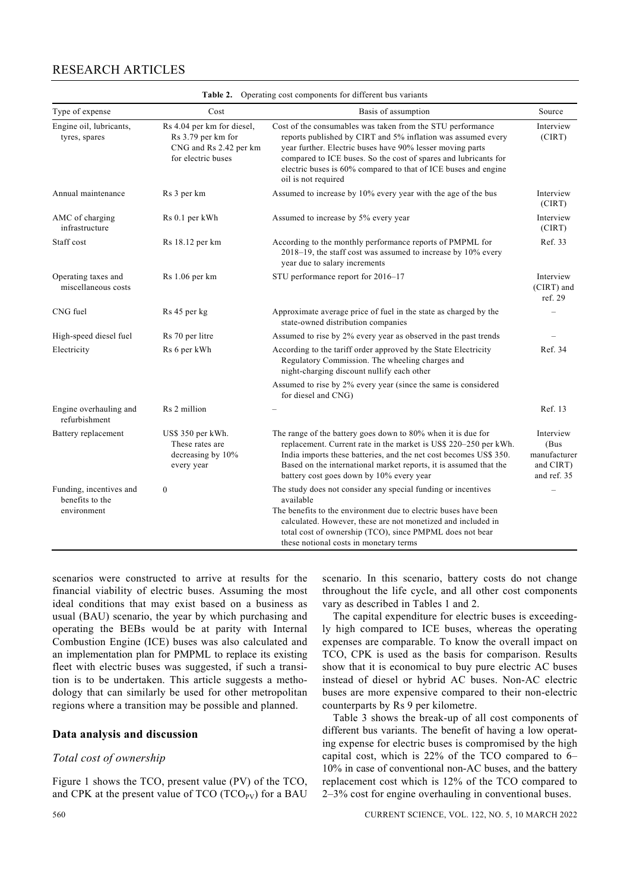| Operating cost components for different bus variants<br>Table 2.                                                                                                                                                                                                                                                                                                                                                         |                                                        |                                                                                                                                                                                                                                                                                                                              |                                    |  |  |  |
|--------------------------------------------------------------------------------------------------------------------------------------------------------------------------------------------------------------------------------------------------------------------------------------------------------------------------------------------------------------------------------------------------------------------------|--------------------------------------------------------|------------------------------------------------------------------------------------------------------------------------------------------------------------------------------------------------------------------------------------------------------------------------------------------------------------------------------|------------------------------------|--|--|--|
| Type of expense                                                                                                                                                                                                                                                                                                                                                                                                          | Cost                                                   | Basis of assumption                                                                                                                                                                                                                                                                                                          | Source                             |  |  |  |
| Engine oil, lubricants,<br>Rs 4.04 per km for diesel,<br>Rs 3.79 per km for<br>tyres, spares<br>CNG and Rs 2.42 per km<br>for electric buses<br>oil is not required                                                                                                                                                                                                                                                      |                                                        | Cost of the consumables was taken from the STU performance<br>reports published by CIRT and 5% inflation was assumed every<br>year further. Electric buses have 90% lesser moving parts<br>compared to ICE buses. So the cost of spares and lubricants for<br>electric buses is 60% compared to that of ICE buses and engine | Interview<br>(CIRT)                |  |  |  |
| Annual maintenance                                                                                                                                                                                                                                                                                                                                                                                                       | Rs 3 per km                                            | Assumed to increase by 10% every year with the age of the bus                                                                                                                                                                                                                                                                | Interview<br>(CIRT)                |  |  |  |
| AMC of charging<br>infrastructure                                                                                                                                                                                                                                                                                                                                                                                        | Rs 0.1 per kWh<br>Assumed to increase by 5% every year |                                                                                                                                                                                                                                                                                                                              | Interview<br>(CIRT)                |  |  |  |
| Staff cost                                                                                                                                                                                                                                                                                                                                                                                                               | Rs 18.12 per km                                        | According to the monthly performance reports of PMPML for<br>2018-19, the staff cost was assumed to increase by 10% every<br>year due to salary increments                                                                                                                                                                   |                                    |  |  |  |
| Operating taxes and<br>miscellaneous costs                                                                                                                                                                                                                                                                                                                                                                               | Rs 1.06 per km                                         | STU performance report for 2016-17                                                                                                                                                                                                                                                                                           | Interview<br>(CIRT) and<br>ref. 29 |  |  |  |
| CNG fuel                                                                                                                                                                                                                                                                                                                                                                                                                 | Rs 45 per kg                                           | Approximate average price of fuel in the state as charged by the<br>state-owned distribution companies                                                                                                                                                                                                                       |                                    |  |  |  |
| High-speed diesel fuel                                                                                                                                                                                                                                                                                                                                                                                                   | Rs 70 per litre                                        | Assumed to rise by 2% every year as observed in the past trends                                                                                                                                                                                                                                                              |                                    |  |  |  |
| Electricity                                                                                                                                                                                                                                                                                                                                                                                                              | Rs 6 per kWh                                           | According to the tariff order approved by the State Electricity<br>Regulatory Commission. The wheeling charges and<br>night-charging discount nullify each other                                                                                                                                                             | Ref. 34                            |  |  |  |
|                                                                                                                                                                                                                                                                                                                                                                                                                          |                                                        | Assumed to rise by 2% every year (since the same is considered<br>for diesel and CNG)                                                                                                                                                                                                                                        |                                    |  |  |  |
| Engine overhauling and<br>refurbishment                                                                                                                                                                                                                                                                                                                                                                                  | Rs 2 million                                           |                                                                                                                                                                                                                                                                                                                              | Ref. 13                            |  |  |  |
| The range of the battery goes down to 80% when it is due for<br>US\$ 350 per kWh.<br>Battery replacement<br>replacement. Current rate in the market is US\$ 220–250 per kWh.<br>These rates are<br>India imports these batteries, and the net cost becomes US\$ 350.<br>decreasing by 10%<br>Based on the international market reports, it is assumed that the<br>every year<br>battery cost goes down by 10% every year |                                                        | Interview<br>(Bus<br>manufacturer<br>and CIRT)<br>and ref. 35                                                                                                                                                                                                                                                                |                                    |  |  |  |
| Funding, incentives and<br>benefits to the<br>environment                                                                                                                                                                                                                                                                                                                                                                | $\boldsymbol{0}$                                       | The study does not consider any special funding or incentives<br>available<br>The benefits to the environment due to electric buses have been<br>calculated. However, these are not monetized and included in<br>total cost of ownership (TCO), since PMPML does not bear<br>these notional costs in monetary terms          |                                    |  |  |  |

### RESEARCH ARTICLES

scenarios were constructed to arrive at results for the financial viability of electric buses. Assuming the most ideal conditions that may exist based on a business as usual (BAU) scenario, the year by which purchasing and operating the BEBs would be at parity with Internal Combustion Engine (ICE) buses was also calculated and an implementation plan for PMPML to replace its existing fleet with electric buses was suggested, if such a transition is to be undertaken. This article suggests a methodology that can similarly be used for other metropolitan regions where a transition may be possible and planned.

#### **Data analysis and discussion**

#### *Total cost of ownership*

Figure 1 shows the TCO, present value (PV) of the TCO, and CPK at the present value of  $TCO (TCO<sub>PV</sub>)$  for a BAU scenario. In this scenario, battery costs do not change throughout the life cycle, and all other cost components vary as described in Tables 1 and 2.

 The capital expenditure for electric buses is exceedingly high compared to ICE buses, whereas the operating expenses are comparable. To know the overall impact on TCO, CPK is used as the basis for comparison. Results show that it is economical to buy pure electric AC buses instead of diesel or hybrid AC buses. Non-AC electric buses are more expensive compared to their non-electric counterparts by Rs 9 per kilometre.

 Table 3 shows the break-up of all cost components of different bus variants. The benefit of having a low operating expense for electric buses is compromised by the high capital cost, which is 22% of the TCO compared to 6– 10% in case of conventional non-AC buses, and the battery replacement cost which is 12% of the TCO compared to 2–3% cost for engine overhauling in conventional buses.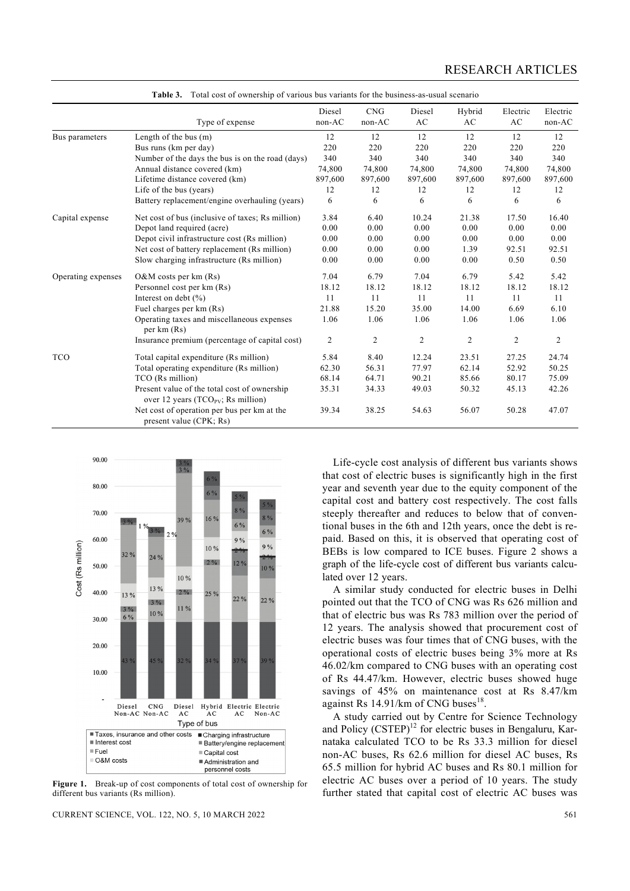|                    | Type of expense                                                                          | Diesel<br>non-AC | CNG<br>non-AC  | Diesel<br>AC   | Hybrid<br>AC   | Electric<br>AC | Electric<br>non-AC |
|--------------------|------------------------------------------------------------------------------------------|------------------|----------------|----------------|----------------|----------------|--------------------|
| Bus parameters     | Length of the bus $(m)$                                                                  | 12               | 12             | 12             | 12             | 12             | 12                 |
|                    | Bus runs (km per day)                                                                    | 220              | 220            | 220            | 220            | 220            | 220                |
|                    | Number of the days the bus is on the road (days)                                         | 340              | 340            | 340            | 340            | 340            | 340                |
|                    | Annual distance covered (km)                                                             | 74,800           | 74,800         | 74,800         | 74,800         | 74,800         | 74,800             |
|                    | Lifetime distance covered (km)                                                           | 897,600          | 897,600        | 897,600        | 897,600        | 897,600        | 897,600            |
|                    | Life of the bus (years)                                                                  | 12               | 12             | 12             | 12             | 12             | 12                 |
|                    | Battery replacement/engine overhauling (years)                                           | 6                | 6              | 6              | 6              | 6              | 6                  |
| Capital expense    | Net cost of bus (inclusive of taxes; Rs million)                                         | 3.84             | 6.40           | 10.24          | 21.38          | 17.50          | 16.40              |
|                    | Depot land required (acre)                                                               | 0.00             | 0.00           | 0.00           | 0.00           | 0.00           | 0.00               |
|                    | Depot civil infrastructure cost (Rs million)                                             | 0.00             | 0.00           | 0.00           | 0.00           | 0.00           | 0.00               |
|                    | Net cost of battery replacement (Rs million)                                             | 0.00             | 0.00           | 0.00           | 1.39           | 92.51          | 92.51              |
|                    | Slow charging infrastructure (Rs million)                                                | 0.00             | 0.00           | 0.00           | 0.00           | 0.50           | 0.50               |
| Operating expenses | $O&M$ costs per km $(Rs)$                                                                | 7.04             | 6.79           | 7.04           | 6.79           | 5.42           | 5.42               |
|                    | Personnel cost per km (Rs)                                                               | 18.12            | 18.12          | 18.12          | 18.12          | 18.12          | 18.12              |
|                    | Interest on debt $(\% )$                                                                 | 11               | 11             | 11             | 11             | 11             | 11                 |
|                    | Fuel charges per km (Rs)                                                                 | 21.88            | 15.20          | 35.00          | 14.00          | 6.69           | 6.10               |
|                    | Operating taxes and miscellaneous expenses<br>per km (Rs)                                | 1.06             | 1.06           | 1.06           | 1.06           | 1.06           | 1.06               |
|                    | Insurance premium (percentage of capital cost)                                           | $\overline{2}$   | $\overline{c}$ | $\overline{2}$ | $\overline{c}$ | $\overline{c}$ | $\overline{c}$     |
| <b>TCO</b>         | Total capital expenditure (Rs million)                                                   | 5.84             | 8.40           | 12.24          | 23.51          | 27.25          | 24.74              |
|                    | Total operating expenditure (Rs million)                                                 | 62.30            | 56.31          | 77.97          | 62.14          | 52.92          | 50.25              |
|                    | TCO (Rs million)                                                                         | 68.14            | 64.71          | 90.21          | 85.66          | 80.17          | 75.09              |
|                    | Present value of the total cost of ownership<br>over 12 years ( $TCO_{PV}$ ; Rs million) | 35.31            | 34.33          | 49.03          | 50.32          | 45.13          | 42.26              |
|                    | Net cost of operation per bus per km at the<br>present value (CPK; Rs)                   | 39.34            | 38.25          | 54.63          | 56.07          | 50.28          | 47.07              |

**Table 3.** Total cost of ownership of various bus variants for the business-as-usual scenario



**Figure 1.** Break-up of cost components of total cost of ownership for different bus variants (Rs million).

CURRENT SCIENCE, VOL. 122, NO. 5, 10 MARCH 2022 561

 Life-cycle cost analysis of different bus variants shows that cost of electric buses is significantly high in the first year and seventh year due to the equity component of the capital cost and battery cost respectively. The cost falls steeply thereafter and reduces to below that of conventional buses in the 6th and 12th years, once the debt is repaid. Based on this, it is observed that operating cost of BEBs is low compared to ICE buses. Figure 2 shows a graph of the life-cycle cost of different bus variants calculated over 12 years.

 A similar study conducted for electric buses in Delhi pointed out that the TCO of CNG was Rs 626 million and that of electric bus was Rs 783 million over the period of 12 years. The analysis showed that procurement cost of electric buses was four times that of CNG buses, with the operational costs of electric buses being 3% more at Rs 46.02/km compared to CNG buses with an operating cost of Rs 44.47/km. However, electric buses showed huge savings of 45% on maintenance cost at Rs 8.47/km against Rs  $14.91/km$  of CNG buses<sup>18</sup>.

 A study carried out by Centre for Science Technology and Policy  $(CSTEP)^{12}$  for electric buses in Bengaluru, Karnataka calculated TCO to be Rs 33.3 million for diesel non-AC buses, Rs 62.6 million for diesel AC buses, Rs 65.5 million for hybrid AC buses and Rs 80.1 million for electric AC buses over a period of 10 years. The study further stated that capital cost of electric AC buses was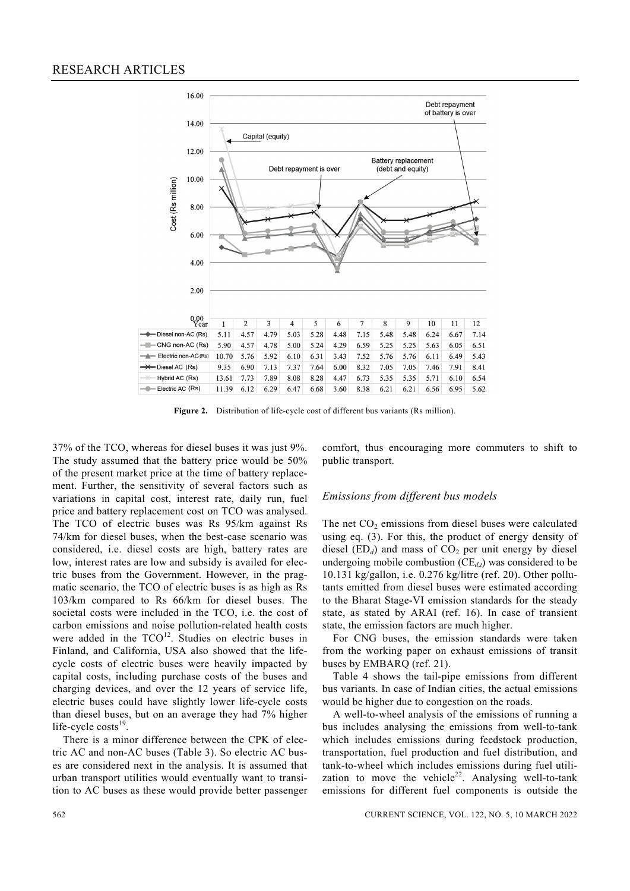

**Figure 2.** Distribution of life-cycle cost of different bus variants (Rs million).

37% of the TCO, whereas for diesel buses it was just 9%. The study assumed that the battery price would be 50% of the present market price at the time of battery replacement. Further, the sensitivity of several factors such as variations in capital cost, interest rate, daily run, fuel price and battery replacement cost on TCO was analysed. The TCO of electric buses was Rs 95/km against Rs 74/km for diesel buses, when the best-case scenario was considered, i.e. diesel costs are high, battery rates are low, interest rates are low and subsidy is availed for electric buses from the Government. However, in the pragmatic scenario, the TCO of electric buses is as high as Rs 103/km compared to Rs 66/km for diesel buses. The societal costs were included in the TCO, i.e. the cost of carbon emissions and noise pollution-related health costs were added in the  $TCO<sup>12</sup>$ . Studies on electric buses in Finland, and California, USA also showed that the lifecycle costs of electric buses were heavily impacted by capital costs, including purchase costs of the buses and charging devices, and over the 12 years of service life, electric buses could have slightly lower life-cycle costs than diesel buses, but on an average they had 7% higher life-cycle  $costs<sup>19</sup>$ .

 There is a minor difference between the CPK of electric AC and non-AC buses (Table 3). So electric AC buses are considered next in the analysis. It is assumed that urban transport utilities would eventually want to transition to AC buses as these would provide better passenger comfort, thus encouraging more commuters to shift to public transport.

#### *Emissions from different bus models*

The net  $CO<sub>2</sub>$  emissions from diesel buses were calculated using eq. (3). For this, the product of energy density of diesel  $(ED<sub>d</sub>)$  and mass of  $CO<sub>2</sub>$  per unit energy by diesel undergoing mobile combustion  $(CE_{dt})$  was considered to be 10.131 kg/gallon, i.e. 0.276 kg/litre (ref. 20). Other pollutants emitted from diesel buses were estimated according to the Bharat Stage-VI emission standards for the steady state, as stated by ARAI (ref. 16). In case of transient state, the emission factors are much higher.

 For CNG buses, the emission standards were taken from the working paper on exhaust emissions of transit buses by EMBARQ (ref. 21).

 Table 4 shows the tail-pipe emissions from different bus variants. In case of Indian cities, the actual emissions would be higher due to congestion on the roads.

 A well-to-wheel analysis of the emissions of running a bus includes analysing the emissions from well-to-tank which includes emissions during feedstock production, transportation, fuel production and fuel distribution, and tank-to-wheel which includes emissions during fuel utilization to move the vehicle<sup>22</sup>. Analysing well-to-tank emissions for different fuel components is outside the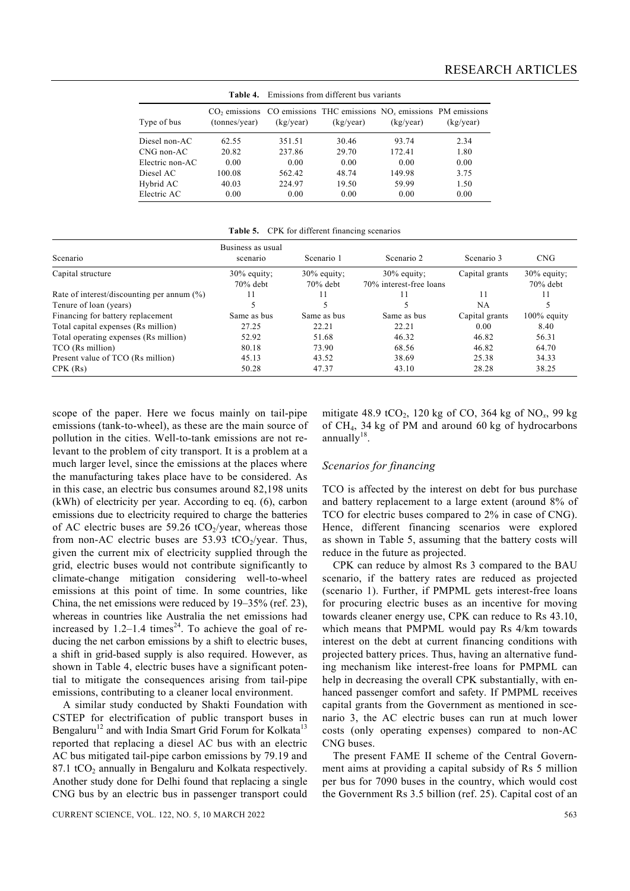|                 | таніс 4.                         |           | - EMISSIONS TIONI QHICICHI DUS VAHAMIS                               |           |           |
|-----------------|----------------------------------|-----------|----------------------------------------------------------------------|-----------|-----------|
| Type of bus     | $CO2$ emissions<br>(tonnes/year) | (kg/year) | CO emissions THC emissions $NOx$ emissions PM emissions<br>(kg/year) | (kg/year) | (kg/year) |
| Diesel non-AC   | 62.55                            | 351.51    | 30.46                                                                | 93.74     | 2.34      |
| CNG non-AC      | 20.82                            | 237.86    | 29.70                                                                | 172.41    | 1.80      |
| Electric non-AC | 0.00                             | 0.00      | 0.00                                                                 | 0.00      | 0.00      |
| Diesel AC       | 100.08                           | 562.42    | 48.74                                                                | 149.98    | 3.75      |
| Hybrid AC       | 40.03                            | 224.97    | 19.50                                                                | 59.99     | 1.50      |
| Electric AC     | 0.00                             | 0.00      | 0.00                                                                 | 0.00      | 0.00      |

**Table 4.** Emissions from different bus variants

**Table 5.** CPK for different financing scenarios

|                                               | Business as usual            |                              |                                           |                |                               |
|-----------------------------------------------|------------------------------|------------------------------|-------------------------------------------|----------------|-------------------------------|
| Scenario                                      | scenario                     | Scenario 1                   | Scenario 2                                | Scenario 3     | <b>CNG</b>                    |
| Capital structure                             | $30\%$ equity;<br>$70%$ debt | $30\%$ equity;<br>$70%$ debt | $30\%$ equity;<br>70% interest-free loans | Capital grants | $30\%$ equity;<br>$70\%$ debt |
| Rate of interest/discounting per annum $(\%)$ | 11                           |                              |                                           | 11             | 11                            |
| Tenure of loan (years)                        |                              |                              |                                           | NA             |                               |
| Financing for battery replacement             | Same as bus                  | Same as bus                  | Same as bus                               | Capital grants | $100\%$ equity                |
| Total capital expenses (Rs million)           | 27.25                        | 22.21                        | 22.21                                     | 0.00           | 8.40                          |
| Total operating expenses (Rs million)         | 52.92                        | 51.68                        | 46.32                                     | 46.82          | 56.31                         |
| TCO (Rs million)                              | 80.18                        | 73.90                        | 68.56                                     | 46.82          | 64.70                         |
| Present value of TCO (Rs million)             | 45.13                        | 43.52                        | 38.69                                     | 25.38          | 34.33                         |
| CPK(Rs)                                       | 50.28                        | 47.37                        | 43.10                                     | 28.28          | 38.25                         |

scope of the paper. Here we focus mainly on tail-pipe emissions (tank-to-wheel), as these are the main source of pollution in the cities. Well-to-tank emissions are not relevant to the problem of city transport. It is a problem at a much larger level, since the emissions at the places where the manufacturing takes place have to be considered. As in this case, an electric bus consumes around 82,198 units (kWh) of electricity per year. According to eq. (6), carbon emissions due to electricity required to charge the batteries of AC electric buses are 59.26 tCO<sub>2</sub>/year, whereas those from non-AC electric buses are  $53.93$  tCO<sub>2</sub>/year. Thus, given the current mix of electricity supplied through the grid, electric buses would not contribute significantly to climate-change mitigation considering well-to-wheel emissions at this point of time. In some countries, like China, the net emissions were reduced by 19–35% (ref. 23), whereas in countries like Australia the net emissions had increased by  $1.2-1.4$  times<sup>24</sup>. To achieve the goal of reducing the net carbon emissions by a shift to electric buses, a shift in grid-based supply is also required. However, as shown in Table 4, electric buses have a significant potential to mitigate the consequences arising from tail-pipe emissions, contributing to a cleaner local environment.

 A similar study conducted by Shakti Foundation with CSTEP for electrification of public transport buses in Bengaluru<sup>12</sup> and with India Smart Grid Forum for Kolkata<sup>13</sup> reported that replacing a diesel AC bus with an electric AC bus mitigated tail-pipe carbon emissions by 79.19 and 87.1  $tCO<sub>2</sub>$  annually in Bengaluru and Kolkata respectively. Another study done for Delhi found that replacing a single CNG bus by an electric bus in passenger transport could

CURRENT SCIENCE, VOL. 122, NO. 5, 10 MARCH 2022 563

mitigate 48.9 tCO2, 120 kg of CO, 364 kg of NO*x*, 99 kg of CH4, 34 kg of PM and around 60 kg of hydrocarbons annually $18$ .

#### *Scenarios for financing*

TCO is affected by the interest on debt for bus purchase and battery replacement to a large extent (around 8% of TCO for electric buses compared to 2% in case of CNG). Hence, different financing scenarios were explored as shown in Table 5, assuming that the battery costs will reduce in the future as projected.

 CPK can reduce by almost Rs 3 compared to the BAU scenario, if the battery rates are reduced as projected (scenario 1). Further, if PMPML gets interest-free loans for procuring electric buses as an incentive for moving towards cleaner energy use, CPK can reduce to Rs 43.10, which means that PMPML would pay Rs 4/km towards interest on the debt at current financing conditions with projected battery prices. Thus, having an alternative funding mechanism like interest-free loans for PMPML can help in decreasing the overall CPK substantially, with enhanced passenger comfort and safety. If PMPML receives capital grants from the Government as mentioned in scenario 3, the AC electric buses can run at much lower costs (only operating expenses) compared to non-AC CNG buses.

 The present FAME II scheme of the Central Government aims at providing a capital subsidy of Rs 5 million per bus for 7090 buses in the country, which would cost the Government Rs 3.5 billion (ref. 25). Capital cost of an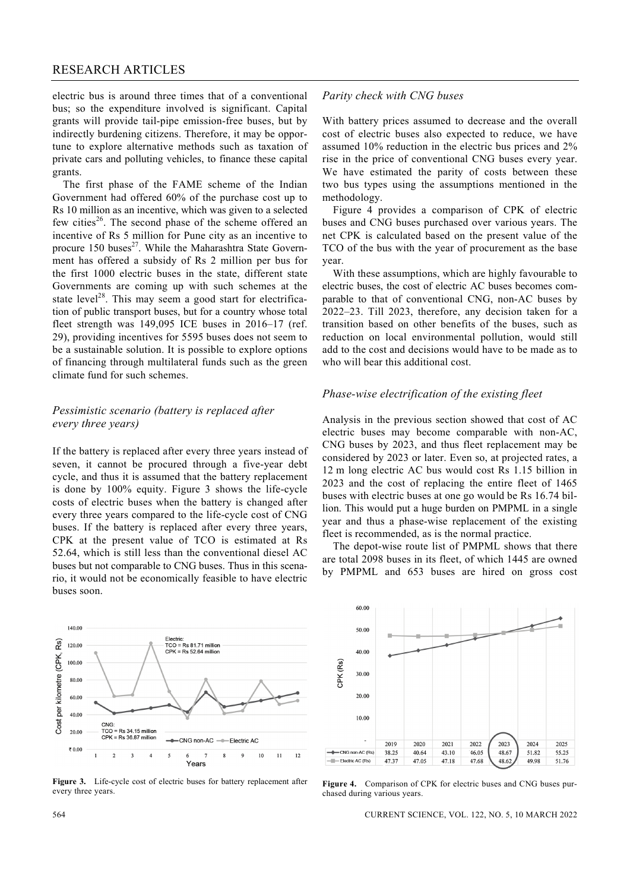electric bus is around three times that of a conventional bus; so the expenditure involved is significant. Capital grants will provide tail-pipe emission-free buses, but by indirectly burdening citizens. Therefore, it may be opportune to explore alternative methods such as taxation of private cars and polluting vehicles, to finance these capital grants.

 The first phase of the FAME scheme of the Indian Government had offered 60% of the purchase cost up to Rs 10 million as an incentive, which was given to a selected few cities<sup>26</sup>. The second phase of the scheme offered an incentive of Rs 5 million for Pune city as an incentive to procure 150 buses $^{27}$ . While the Maharashtra State Government has offered a subsidy of Rs 2 million per bus for the first 1000 electric buses in the state, different state Governments are coming up with such schemes at the state level<sup>28</sup>. This may seem a good start for electrification of public transport buses, but for a country whose total fleet strength was 149,095 ICE buses in 2016–17 (ref. 29), providing incentives for 5595 buses does not seem to be a sustainable solution. It is possible to explore options of financing through multilateral funds such as the green climate fund for such schemes.

#### *Pessimistic scenario (battery is replaced after every three years)*

If the battery is replaced after every three years instead of seven, it cannot be procured through a five-year debt cycle, and thus it is assumed that the battery replacement is done by 100% equity. Figure 3 shows the life-cycle costs of electric buses when the battery is changed after every three years compared to the life-cycle cost of CNG buses. If the battery is replaced after every three years, CPK at the present value of TCO is estimated at Rs 52.64, which is still less than the conventional diesel AC buses but not comparable to CNG buses. Thus in this scenario, it would not be economically feasible to have electric buses soon.

#### 140.00 Electric:<br>TCO = Rs 81.71 million Rs) 120.00  $CPK = Rs 52.64$  million Cost per kilometre (CPK, 100.00 80.00 60.00 40.00 CNG:<br>TCO = Rs 34.15 million<br>CPK = Rs 36.87 million 20.00 -CNG non-AC ----Flectric AC ₹0.00  $\overline{2}$  $\overline{\mathbf{3}}$  $\overline{4}$  $\overline{\mathbf{S}}$  $\overline{9}$  $10$  $11$  $12$ Years

Figure 3. Life-cycle cost of electric buses for battery replacement after every three years.

#### *Parity check with CNG buses*

With battery prices assumed to decrease and the overall cost of electric buses also expected to reduce, we have assumed 10% reduction in the electric bus prices and 2% rise in the price of conventional CNG buses every year. We have estimated the parity of costs between these two bus types using the assumptions mentioned in the methodology.

 Figure 4 provides a comparison of CPK of electric buses and CNG buses purchased over various years. The net CPK is calculated based on the present value of the TCO of the bus with the year of procurement as the base year.

 With these assumptions, which are highly favourable to electric buses, the cost of electric AC buses becomes comparable to that of conventional CNG, non-AC buses by 2022–23. Till 2023, therefore, any decision taken for a transition based on other benefits of the buses, such as reduction on local environmental pollution, would still add to the cost and decisions would have to be made as to who will bear this additional cost.

#### *Phase-wise electrification of the existing fleet*

Analysis in the previous section showed that cost of AC electric buses may become comparable with non-AC, CNG buses by 2023, and thus fleet replacement may be considered by 2023 or later. Even so, at projected rates, a 12 m long electric AC bus would cost Rs 1.15 billion in 2023 and the cost of replacing the entire fleet of 1465 buses with electric buses at one go would be Rs 16.74 billion. This would put a huge burden on PMPML in a single year and thus a phase-wise replacement of the existing fleet is recommended, as is the normal practice.

 The depot-wise route list of PMPML shows that there are total 2098 buses in its fleet, of which 1445 are owned by PMPML and 653 buses are hired on gross cost



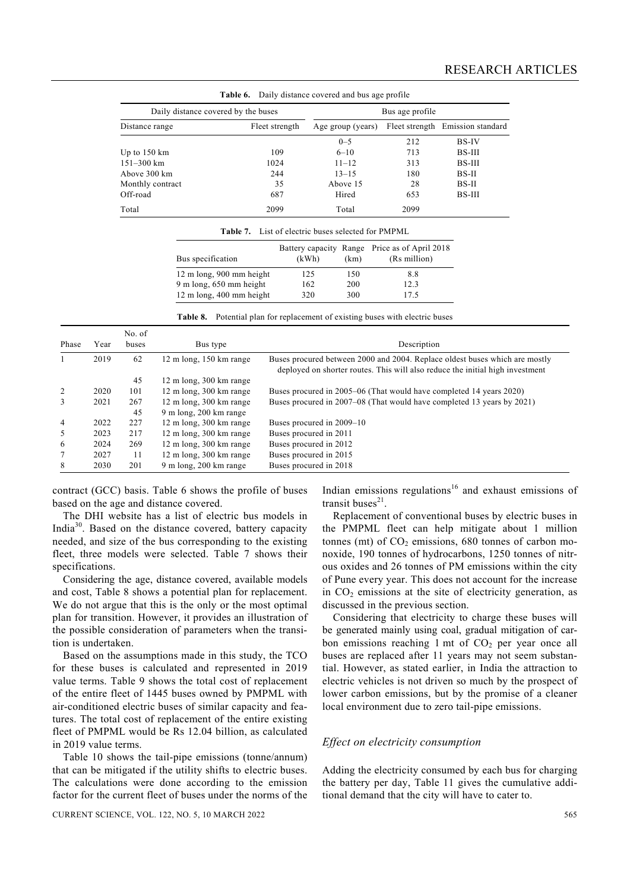| Daily distance covered and bus age profile<br>Table 6. |                 |                   |      |                                  |  |  |  |  |
|--------------------------------------------------------|-----------------|-------------------|------|----------------------------------|--|--|--|--|
| Daily distance covered by the buses                    | Bus age profile |                   |      |                                  |  |  |  |  |
| Distance range                                         | Fleet strength  | Age group (years) |      | Fleet strength Emission standard |  |  |  |  |
|                                                        |                 | $0 - 5$           | 212  | <b>BS-IV</b>                     |  |  |  |  |
| Up to $150 \text{ km}$                                 | 109             | $6 - 10$          | 713  | <b>BS-III</b>                    |  |  |  |  |
| $151 - 300$ km                                         | 1024            | $11 - 12$         | 313  | BS-III                           |  |  |  |  |
| Above 300 km                                           | 244             | $13 - 15$         | 180  | BS-II                            |  |  |  |  |
| Monthly contract                                       | 35              | Above 15          | 28   | BS-II                            |  |  |  |  |
| Off-road                                               | 687             | Hired             | 653  | BS-III                           |  |  |  |  |
| Total                                                  | 2099            | Total             | 2099 |                                  |  |  |  |  |

|  |  | <b>Table 6.</b> Daily distance covered and bus age profile |  |  |
|--|--|------------------------------------------------------------|--|--|
|--|--|------------------------------------------------------------|--|--|

| Bus specification                            | (kWh) | (km) | Battery capacity Range Price as of April 2018<br>(Rs million) |
|----------------------------------------------|-------|------|---------------------------------------------------------------|
| $12 \text{ m}$ long, $900 \text{ mm}$ height | 125   | 150  | 8.8                                                           |
| $9 \text{ m}$ long, 650 mm height            | 162   | 200  | 12.3                                                          |
| 12 m long, 400 mm height                     | 320   | 300  | 175                                                           |

|  |  |  |  |  |  | <b>Table 8.</b> Potential plan for replacement of existing buses with electric buses |
|--|--|--|--|--|--|--------------------------------------------------------------------------------------|
|--|--|--|--|--|--|--------------------------------------------------------------------------------------|

|                |      | No. of |                                             |                                                                                                                                                              |
|----------------|------|--------|---------------------------------------------|--------------------------------------------------------------------------------------------------------------------------------------------------------------|
| Phase          | Year | buses  | Bus type                                    | Description                                                                                                                                                  |
|                | 2019 | 62     | 12 m long, 150 km range                     | Buses procured between 2000 and 2004. Replace oldest buses which are mostly<br>deployed on shorter routes. This will also reduce the initial high investment |
|                |      | 45     | $12 \text{ m}$ long, $300 \text{ km}$ range |                                                                                                                                                              |
|                | 2020 | 101    | 12 m long, 300 km range                     | Buses procured in 2005–06 (That would have completed 14 years 2020)                                                                                          |
|                | 2021 | 267    | 12 m long, 300 km range                     | Buses procured in 2007–08 (That would have completed 13 years by 2021)                                                                                       |
|                |      | 45     | 9 m long, 200 km range                      |                                                                                                                                                              |
| $\overline{4}$ | 2022 | 227    | $12 \text{ m}$ long, $300 \text{ km}$ range | Buses procured in 2009–10                                                                                                                                    |
| 5              | 2023 | 217    | 12 m long, 300 km range                     | Buses procured in 2011                                                                                                                                       |
| 6              | 2024 | 269    | $12 \text{ m}$ long, $300 \text{ km}$ range | Buses procured in 2012                                                                                                                                       |
|                | 2027 | 11     | $12 \text{ m}$ long, $300 \text{ km}$ range | Buses procured in 2015                                                                                                                                       |
| 8              | 2030 | 201    | $9 \text{ m}$ long, 200 km range            | Buses procured in 2018                                                                                                                                       |

contract (GCC) basis. Table 6 shows the profile of buses based on the age and distance covered.

 The DHI website has a list of electric bus models in India30. Based on the distance covered, battery capacity needed, and size of the bus corresponding to the existing fleet, three models were selected. Table 7 shows their specifications.

 Considering the age, distance covered, available models and cost, Table 8 shows a potential plan for replacement. We do not argue that this is the only or the most optimal plan for transition. However, it provides an illustration of the possible consideration of parameters when the transition is undertaken.

 Based on the assumptions made in this study, the TCO for these buses is calculated and represented in 2019 value terms. Table 9 shows the total cost of replacement of the entire fleet of 1445 buses owned by PMPML with air-conditioned electric buses of similar capacity and features. The total cost of replacement of the entire existing fleet of PMPML would be Rs 12.04 billion, as calculated in 2019 value terms.

 Table 10 shows the tail-pipe emissions (tonne/annum) that can be mitigated if the utility shifts to electric buses. The calculations were done according to the emission factor for the current fleet of buses under the norms of the Indian emissions regulations<sup>16</sup> and exhaust emissions of transit buses $^{21}$ .

 Replacement of conventional buses by electric buses in the PMPML fleet can help mitigate about 1 million tonnes (mt) of  $CO<sub>2</sub>$  emissions, 680 tonnes of carbon monoxide, 190 tonnes of hydrocarbons, 1250 tonnes of nitrous oxides and 26 tonnes of PM emissions within the city of Pune every year. This does not account for the increase in  $CO<sub>2</sub>$  emissions at the site of electricity generation, as discussed in the previous section.

 Considering that electricity to charge these buses will be generated mainly using coal, gradual mitigation of carbon emissions reaching 1 mt of  $CO<sub>2</sub>$  per year once all buses are replaced after 11 years may not seem substantial. However, as stated earlier, in India the attraction to electric vehicles is not driven so much by the prospect of lower carbon emissions, but by the promise of a cleaner local environment due to zero tail-pipe emissions.

#### *Effect on electricity consumption*

Adding the electricity consumed by each bus for charging the battery per day, Table 11 gives the cumulative additional demand that the city will have to cater to.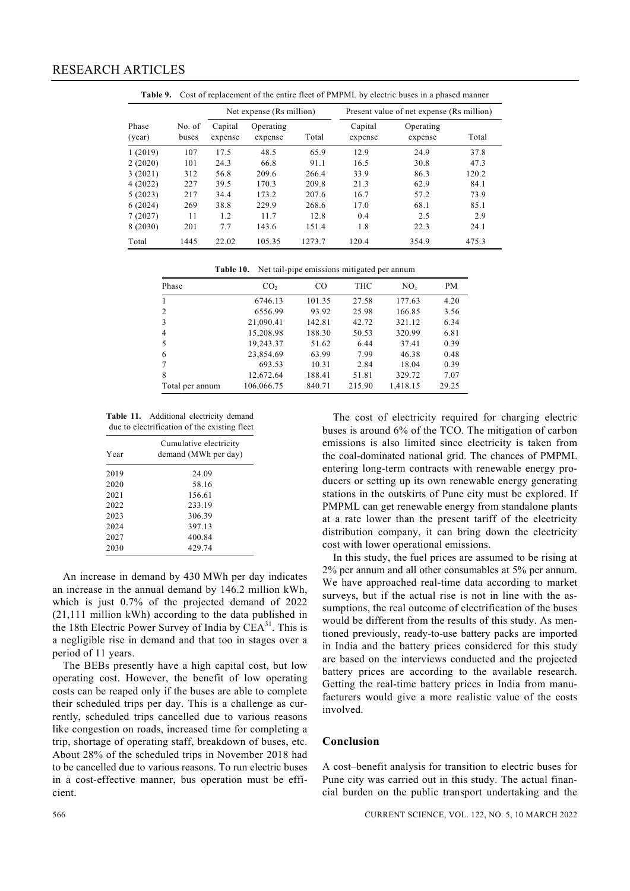|                 |                 | Net expense (Rs million) |                      | Present value of net expense (Rs million) |                    |                      |       |
|-----------------|-----------------|--------------------------|----------------------|-------------------------------------------|--------------------|----------------------|-------|
| Phase<br>(year) | No. of<br>buses | Capital<br>expense       | Operating<br>expense | Total                                     | Capital<br>expense | Operating<br>expense | Total |
| 1(2019)         | 107             | 17.5                     | 48.5                 | 65.9                                      | 12.9               | 24.9                 | 37.8  |
| 2(2020)         | 101             | 24.3                     | 66.8                 | 91.1                                      | 16.5               | 30.8                 | 47.3  |
| 3(2021)         | 312             | 56.8                     | 209.6                | 266.4                                     | 33.9               | 86.3                 | 120.2 |
| 4(2022)         | 227             | 39.5                     | 170.3                | 209.8                                     | 21.3               | 62.9                 | 84.1  |
| 5(2023)         | 217             | 34.4                     | 173.2                | 207.6                                     | 16.7               | 57.2                 | 73.9  |
| 6(2024)         | 269             | 38.8                     | 229.9                | 268.6                                     | 17.0               | 68.1                 | 85.1  |
| 7(2027)         | 11              | 1.2                      | 11.7                 | 12.8                                      | 0.4                | 2.5                  | 2.9   |
| 8 (2030)        | 201             | 7.7                      | 143.6                | 151.4                                     | 1.8                | 22.3                 | 24.1  |
| Total           | 1445            | 22.02                    | 105.35               | 1273.7                                    | 120.4              | 354.9                | 475.3 |

**Table 9.** Cost of replacement of the entire fleet of PMPML by electric buses in a phased manner

**Table 10.** Net tail-pipe emissions mitigated per annum

| Phase           | CO <sub>2</sub> | CO     | THC    | $NO_{r}$ | <b>PM</b> |
|-----------------|-----------------|--------|--------|----------|-----------|
|                 | 6746.13         | 101.35 | 27.58  | 177.63   | 4.20      |
| 2               | 6556.99         | 93.92  | 25.98  | 166.85   | 3.56      |
| 3               | 21,090.41       | 142.81 | 42.72  | 321.12   | 6.34      |
| 4               | 15,208.98       | 188.30 | 50.53  | 320.99   | 6.81      |
| 5               | 19,243.37       | 51.62  | 6.44   | 37.41    | 0.39      |
| 6               | 23,854.69       | 63.99  | 7.99   | 46.38    | 0.48      |
|                 | 693.53          | 10.31  | 2.84   | 18.04    | 0.39      |
| 8               | 12,672.64       | 188.41 | 51.81  | 329.72   | 7.07      |
| Total per annum | 106,066.75      | 840.71 | 215.90 | 1,418.15 | 29.25     |

**Table 11.** Additional electricity demand due to electrification of the existing fleet

| Year | Cumulative electricity<br>demand (MWh per day) |
|------|------------------------------------------------|
| 2019 | 24.09                                          |
| 2020 | 58.16                                          |
| 2021 | 156.61                                         |
| 2022 | 233.19                                         |
| 2023 | 306.39                                         |
| 2024 | 397.13                                         |
| 2027 | 400.84                                         |
| 2030 | 429.74                                         |
|      |                                                |

 An increase in demand by 430 MWh per day indicates an increase in the annual demand by 146.2 million kWh, which is just 0.7% of the projected demand of 2022 (21,111 million kWh) according to the data published in the 18th Electric Power Survey of India by  $CEA^{31}$ . This is a negligible rise in demand and that too in stages over a period of 11 years.

 The BEBs presently have a high capital cost, but low operating cost. However, the benefit of low operating costs can be reaped only if the buses are able to complete their scheduled trips per day. This is a challenge as currently, scheduled trips cancelled due to various reasons like congestion on roads, increased time for completing a trip, shortage of operating staff, breakdown of buses, etc. About 28% of the scheduled trips in November 2018 had to be cancelled due to various reasons. To run electric buses in a cost-effective manner, bus operation must be efficient.

 The cost of electricity required for charging electric buses is around 6% of the TCO. The mitigation of carbon emissions is also limited since electricity is taken from the coal-dominated national grid. The chances of PMPML entering long-term contracts with renewable energy producers or setting up its own renewable energy generating stations in the outskirts of Pune city must be explored. If PMPML can get renewable energy from standalone plants at a rate lower than the present tariff of the electricity distribution company, it can bring down the electricity cost with lower operational emissions.

 In this study, the fuel prices are assumed to be rising at 2% per annum and all other consumables at 5% per annum. We have approached real-time data according to market surveys, but if the actual rise is not in line with the assumptions, the real outcome of electrification of the buses would be different from the results of this study. As mentioned previously, ready-to-use battery packs are imported in India and the battery prices considered for this study are based on the interviews conducted and the projected battery prices are according to the available research. Getting the real-time battery prices in India from manufacturers would give a more realistic value of the costs involved.

#### **Conclusion**

A cost–benefit analysis for transition to electric buses for Pune city was carried out in this study. The actual financial burden on the public transport undertaking and the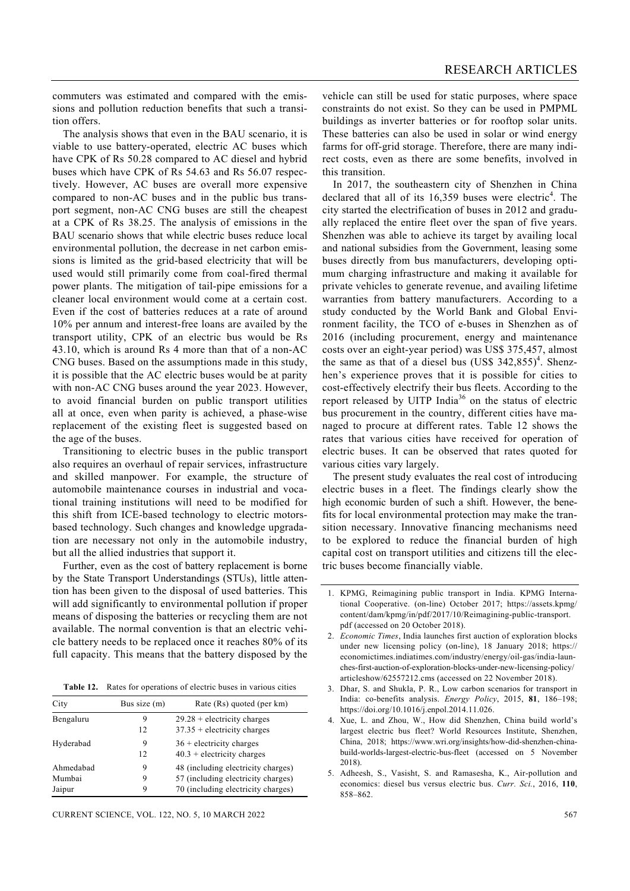commuters was estimated and compared with the emissions and pollution reduction benefits that such a transition offers.

 The analysis shows that even in the BAU scenario, it is viable to use battery-operated, electric AC buses which have CPK of Rs 50.28 compared to AC diesel and hybrid buses which have CPK of Rs 54.63 and Rs 56.07 respectively. However, AC buses are overall more expensive compared to non-AC buses and in the public bus transport segment, non-AC CNG buses are still the cheapest at a CPK of Rs 38.25. The analysis of emissions in the BAU scenario shows that while electric buses reduce local environmental pollution, the decrease in net carbon emissions is limited as the grid-based electricity that will be used would still primarily come from coal-fired thermal power plants. The mitigation of tail-pipe emissions for a cleaner local environment would come at a certain cost. Even if the cost of batteries reduces at a rate of around 10% per annum and interest-free loans are availed by the transport utility, CPK of an electric bus would be Rs 43.10, which is around Rs 4 more than that of a non-AC CNG buses. Based on the assumptions made in this study, it is possible that the AC electric buses would be at parity with non-AC CNG buses around the year 2023. However, to avoid financial burden on public transport utilities all at once, even when parity is achieved, a phase-wise replacement of the existing fleet is suggested based on the age of the buses.

 Transitioning to electric buses in the public transport also requires an overhaul of repair services, infrastructure and skilled manpower. For example, the structure of automobile maintenance courses in industrial and vocational training institutions will need to be modified for this shift from ICE-based technology to electric motorsbased technology. Such changes and knowledge upgradation are necessary not only in the automobile industry, but all the allied industries that support it.

 Further, even as the cost of battery replacement is borne by the State Transport Understandings (STUs), little attention has been given to the disposal of used batteries. This will add significantly to environmental pollution if proper means of disposing the batteries or recycling them are not available. The normal convention is that an electric vehicle battery needs to be replaced once it reaches 80% of its full capacity. This means that the battery disposed by the

**Table 12.** Rates for operations of electric buses in various cities

| City                          | Bus size (m) | Rate (Rs) quoted (per km)                                                                                      |
|-------------------------------|--------------|----------------------------------------------------------------------------------------------------------------|
| Bengaluru                     | 9<br>12      | $29.28 +$ electricity charges<br>$37.35 +$ electricity charges                                                 |
| Hyderabad                     | 9<br>12      | $36 +$ electricity charges<br>$40.3 +$ electricity charges                                                     |
| Ahmedabad<br>Mumbai<br>Jaipur | 9<br>9       | 48 (including electricity charges)<br>57 (including electricity charges)<br>70 (including electricity charges) |

CURRENT SCIENCE, VOL. 122, NO. 5, 10 MARCH 2022 567

vehicle can still be used for static purposes, where space constraints do not exist. So they can be used in PMPML buildings as inverter batteries or for rooftop solar units. These batteries can also be used in solar or wind energy farms for off-grid storage. Therefore, there are many indirect costs, even as there are some benefits, involved in this transition.

 In 2017, the southeastern city of Shenzhen in China declared that all of its  $16,359$  buses were electric<sup>4</sup>. The city started the electrification of buses in 2012 and gradually replaced the entire fleet over the span of five years. Shenzhen was able to achieve its target by availing local and national subsidies from the Government, leasing some buses directly from bus manufacturers, developing optimum charging infrastructure and making it available for private vehicles to generate revenue, and availing lifetime warranties from battery manufacturers. According to a study conducted by the World Bank and Global Environment facility, the TCO of e-buses in Shenzhen as of 2016 (including procurement, energy and maintenance costs over an eight-year period) was US\$ 375,457, almost the same as that of a diesel bus  $(US\$   $342,855)^4$ . Shenzhen's experience proves that it is possible for cities to cost-effectively electrify their bus fleets. According to the report released by UITP India<sup>36</sup> on the status of electric bus procurement in the country, different cities have managed to procure at different rates. Table 12 shows the rates that various cities have received for operation of electric buses. It can be observed that rates quoted for various cities vary largely.

 The present study evaluates the real cost of introducing electric buses in a fleet. The findings clearly show the high economic burden of such a shift. However, the benefits for local environmental protection may make the transition necessary. Innovative financing mechanisms need to be explored to reduce the financial burden of high capital cost on transport utilities and citizens till the electric buses become financially viable.

<sup>1.</sup> KPMG, Reimagining public transport in India. KPMG International Cooperative. (on-line) October 2017; https://assets.kpmg/ content/dam/kpmg/in/pdf/2017/10/Reimagining-public-transport. pdf (accessed on 20 October 2018).

<sup>2.</sup> *Economic Times*, India launches first auction of exploration blocks under new licensing policy (on-line), 18 January 2018; https:// economictimes.indiatimes.com/industry/energy/oil-gas/india-launches-first-auction-of-exploration-blocks-under-new-licensing-policy/ articleshow/62557212.cms (accessed on 22 November 2018).

<sup>3.</sup> Dhar, S. and Shukla, P. R., Low carbon scenarios for transport in India: co-benefits analysis. *Energy Policy*, 2015, **81**, 186–198; https://doi.org/10.1016/j.enpol.2014.11.026.

<sup>4.</sup> Xue, L. and Zhou, W., How did Shenzhen, China build world's largest electric bus fleet? World Resources Institute, Shenzhen, China, 2018; https://www.wri.org/insights/how-did-shenzhen-chinabuild-worlds-largest-electric-bus-fleet (accessed on 5 November 2018).

<sup>5.</sup> Adheesh, S., Vasisht, S. and Ramasesha, K., Air-pollution and economics: diesel bus versus electric bus. *Curr. Sci.*, 2016, **110**, 858–862.